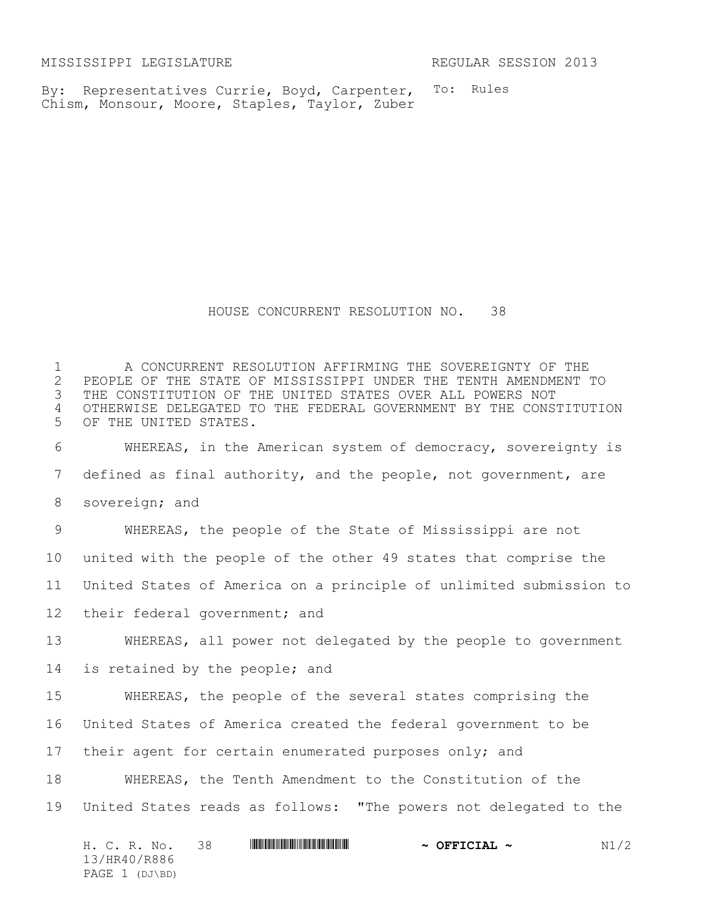MISSISSIPPI LEGISLATURE REGULAR SESSION 2013

To: Rules By: Representatives Currie, Boyd, Carpenter, Chism, Monsour, Moore, Staples, Taylor, Zuber

HOUSE CONCURRENT RESOLUTION NO. 38

 A CONCURRENT RESOLUTION AFFIRMING THE SOVEREIGNTY OF THE 2 PEOPLE OF THE STATE OF MISSISSIPPI UNDER THE TENTH AMENDMENT TO<br>3 THE CONSTITUTION OF THE UNITED STATES OVER ALL POWERS NOT THE CONSTITUTION OF THE UNITED STATES OVER ALL POWERS NOT OTHERWISE DELEGATED TO THE FEDERAL GOVERNMENT BY THE CONSTITUTION OF THE UNITED STATES. WHEREAS, in the American system of democracy, sovereignty is defined as final authority, and the people, not government, are sovereign; and WHEREAS, the people of the State of Mississippi are not united with the people of the other 49 states that comprise the United States of America on a principle of unlimited submission to their federal government; and WHEREAS, all power not delegated by the people to government is retained by the people; and WHEREAS, the people of the several states comprising the United States of America created the federal government to be their agent for certain enumerated purposes only; and WHEREAS, the Tenth Amendment to the Constitution of the United States reads as follows: "The powers not delegated to the

H. C. R. No. 38 \*HR40/R886\* **~ OFFICIAL ~** N1/2 13/HR40/R886 PAGE 1 (DJ\BD)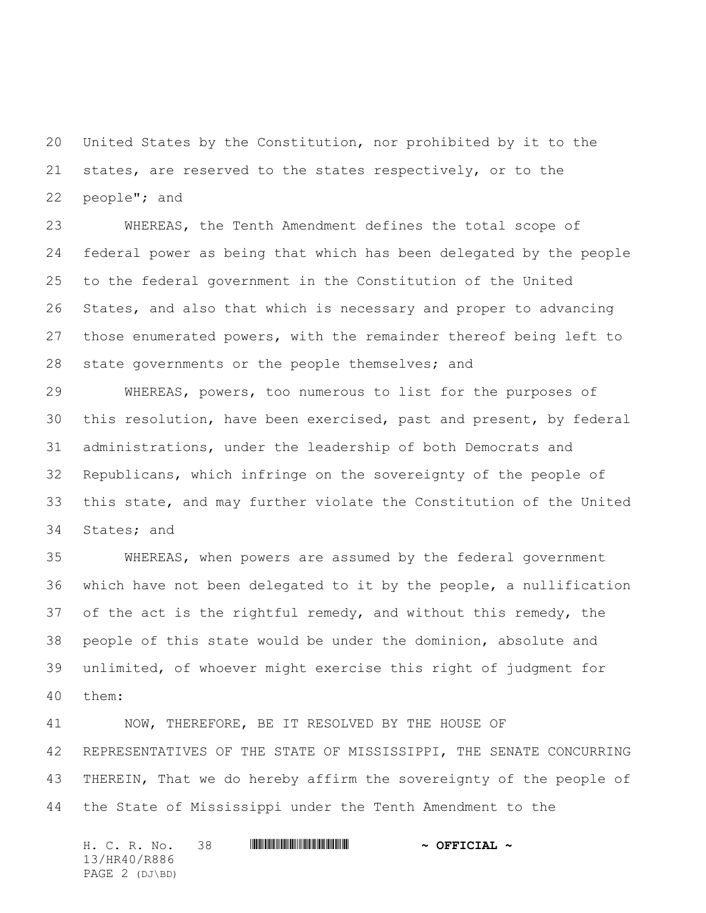United States by the Constitution, nor prohibited by it to the states, are reserved to the states respectively, or to the people"; and

 WHEREAS, the Tenth Amendment defines the total scope of federal power as being that which has been delegated by the people to the federal government in the Constitution of the United States, and also that which is necessary and proper to advancing those enumerated powers, with the remainder thereof being left to 28 state governments or the people themselves; and

 WHEREAS, powers, too numerous to list for the purposes of this resolution, have been exercised, past and present, by federal administrations, under the leadership of both Democrats and Republicans, which infringe on the sovereignty of the people of this state, and may further violate the Constitution of the United States; and

 WHEREAS, when powers are assumed by the federal government which have not been delegated to it by the people, a nullification of the act is the rightful remedy, and without this remedy, the people of this state would be under the dominion, absolute and unlimited, of whoever might exercise this right of judgment for them:

 NOW, THEREFORE, BE IT RESOLVED BY THE HOUSE OF REPRESENTATIVES OF THE STATE OF MISSISSIPPI, THE SENATE CONCURRING THEREIN, That we do hereby affirm the sovereignty of the people of the State of Mississippi under the Tenth Amendment to the

H. C. R. No. 38 \*HR40/R886\* **~ OFFICIAL ~** 13/HR40/R886 PAGE 2 (DJ\BD)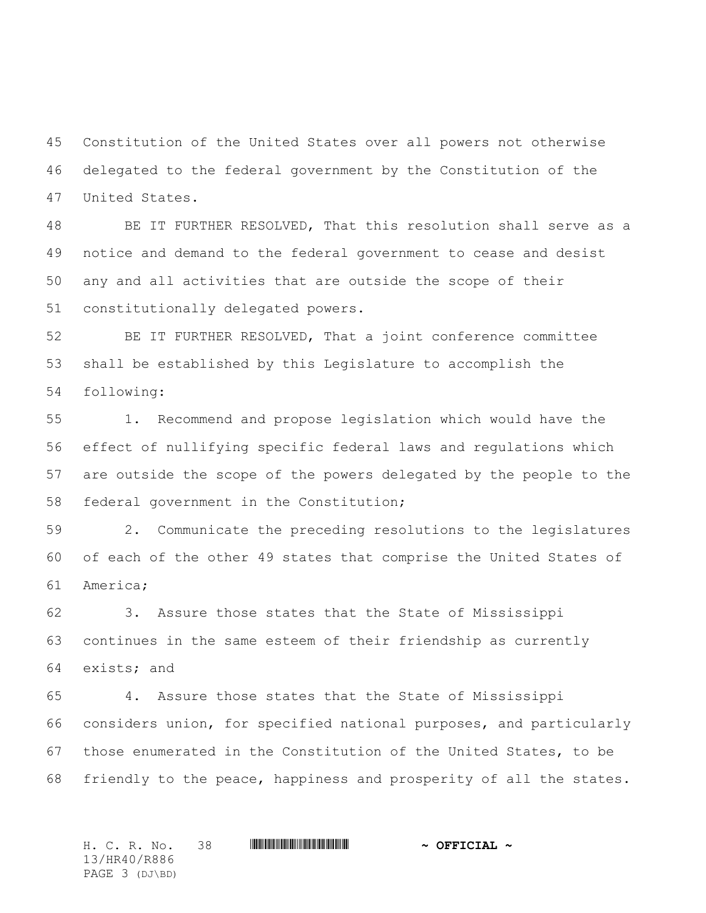Constitution of the United States over all powers not otherwise delegated to the federal government by the Constitution of the United States.

 BE IT FURTHER RESOLVED, That this resolution shall serve as a notice and demand to the federal government to cease and desist any and all activities that are outside the scope of their constitutionally delegated powers.

 BE IT FURTHER RESOLVED, That a joint conference committee shall be established by this Legislature to accomplish the following:

 1. Recommend and propose legislation which would have the effect of nullifying specific federal laws and regulations which are outside the scope of the powers delegated by the people to the federal government in the Constitution;

 2. Communicate the preceding resolutions to the legislatures of each of the other 49 states that comprise the United States of America;

 3. Assure those states that the State of Mississippi continues in the same esteem of their friendship as currently exists; and

 4. Assure those states that the State of Mississippi considers union, for specified national purposes, and particularly those enumerated in the Constitution of the United States, to be friendly to the peace, happiness and prosperity of all the states.

H. C. R. No. 38 **ANNIFORMAN PUBLICIAL ~ OFFICIAL ~** 13/HR40/R886 PAGE 3 (DJ\BD)